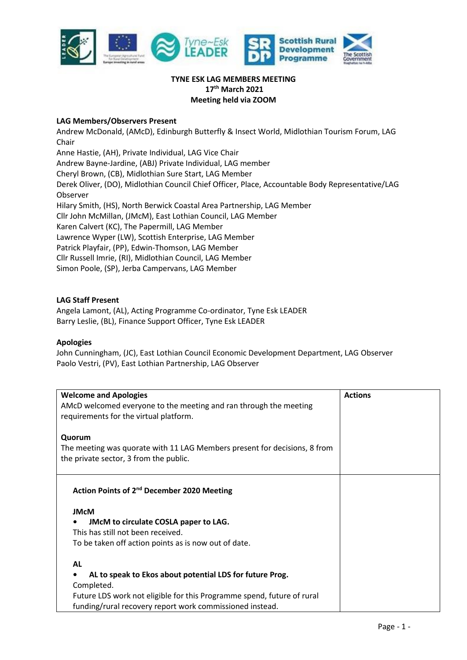

# **TYNE ESK LAG MEMBERS MEETING 17th March 2021 Meeting held via ZOOM**

# **LAG Members/Observers Present**

Andrew McDonald, (AMcD), Edinburgh Butterfly & Insect World, Midlothian Tourism Forum, LAG Chair

Anne Hastie, (AH), Private Individual, LAG Vice Chair Andrew Bayne-Jardine, (ABJ) Private Individual, LAG member Cheryl Brown, (CB), Midlothian Sure Start, LAG Member Derek Oliver, (DO), Midlothian Council Chief Officer, Place, Accountable Body Representative/LAG Observer Hilary Smith, (HS), North Berwick Coastal Area Partnership, LAG Member Cllr John McMillan, (JMcM), East Lothian Council, LAG Member Karen Calvert (KC), The Papermill, LAG Member Lawrence Wyper (LW), Scottish Enterprise, LAG Member Patrick Playfair, (PP), Edwin-Thomson, LAG Member Cllr Russell Imrie, (RI), Midlothian Council, LAG Member Simon Poole, (SP), Jerba Campervans, LAG Member

# **LAG Staff Present**

Angela Lamont, (AL), Acting Programme Co-ordinator, Tyne Esk LEADER Barry Leslie, (BL), Finance Support Officer, Tyne Esk LEADER

## **Apologies**

John Cunningham, (JC), East Lothian Council Economic Development Department, LAG Observer Paolo Vestri, (PV), East Lothian Partnership, LAG Observer

| <b>Welcome and Apologies</b>                                              | <b>Actions</b> |
|---------------------------------------------------------------------------|----------------|
| AMcD welcomed everyone to the meeting and ran through the meeting         |                |
| requirements for the virtual platform.                                    |                |
| Quorum                                                                    |                |
| The meeting was quorate with 11 LAG Members present for decisions, 8 from |                |
| the private sector, 3 from the public.                                    |                |
|                                                                           |                |
|                                                                           |                |
| Action Points of 2 <sup>nd</sup> December 2020 Meeting                    |                |
| <b>JMcM</b>                                                               |                |
| JMcM to circulate COSLA paper to LAG.                                     |                |
| This has still not been received.                                         |                |
| To be taken off action points as is now out of date.                      |                |
| <b>AL</b>                                                                 |                |
| AL to speak to Ekos about potential LDS for future Prog.                  |                |
| Completed.                                                                |                |
| Future LDS work not eligible for this Programme spend, future of rural    |                |
| funding/rural recovery report work commissioned instead.                  |                |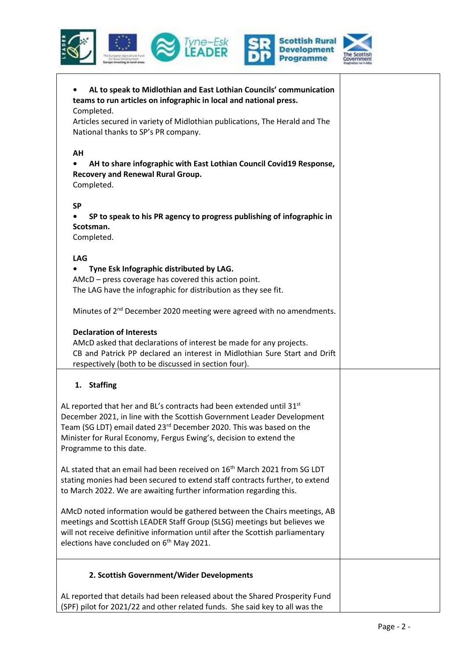

 $\overline{\phantom{a}}$ 



| AL to speak to Midlothian and East Lothian Councils' communication<br>teams to run articles on infographic in local and national press.                                                                                                                                                                                            |  |
|------------------------------------------------------------------------------------------------------------------------------------------------------------------------------------------------------------------------------------------------------------------------------------------------------------------------------------|--|
| Completed.<br>Articles secured in variety of Midlothian publications, The Herald and The<br>National thanks to SP's PR company.                                                                                                                                                                                                    |  |
| AH                                                                                                                                                                                                                                                                                                                                 |  |
| AH to share infographic with East Lothian Council Covid19 Response,<br>Recovery and Renewal Rural Group.<br>Completed.                                                                                                                                                                                                             |  |
| <b>SP</b>                                                                                                                                                                                                                                                                                                                          |  |
| SP to speak to his PR agency to progress publishing of infographic in<br>Scotsman.<br>Completed.                                                                                                                                                                                                                                   |  |
| <b>LAG</b><br>Tyne Esk Infographic distributed by LAG.<br>٠<br>AMcD - press coverage has covered this action point.<br>The LAG have the infographic for distribution as they see fit.                                                                                                                                              |  |
| Minutes of 2 <sup>nd</sup> December 2020 meeting were agreed with no amendments.                                                                                                                                                                                                                                                   |  |
| <b>Declaration of Interests</b><br>AMcD asked that declarations of interest be made for any projects.<br>CB and Patrick PP declared an interest in Midlothian Sure Start and Drift<br>respectively (both to be discussed in section four).                                                                                         |  |
| 1. Staffing                                                                                                                                                                                                                                                                                                                        |  |
| AL reported that her and BL's contracts had been extended until 31st<br>December 2021, in line with the Scottish Government Leader Development<br>Team (SG LDT) email dated 23 <sup>rd</sup> December 2020. This was based on the<br>Minister for Rural Economy, Fergus Ewing's, decision to extend the<br>Programme to this date. |  |
| AL stated that an email had been received on 16 <sup>th</sup> March 2021 from SG LDT<br>stating monies had been secured to extend staff contracts further, to extend<br>to March 2022. We are awaiting further information regarding this.                                                                                         |  |
| AMcD noted information would be gathered between the Chairs meetings, AB<br>meetings and Scottish LEADER Staff Group (SLSG) meetings but believes we<br>will not receive definitive information until after the Scottish parliamentary<br>elections have concluded on 6 <sup>th</sup> May 2021.                                    |  |
| 2. Scottish Government/Wider Developments                                                                                                                                                                                                                                                                                          |  |
| AL reported that details had been released about the Shared Prosperity Fund<br>(SPF) pilot for 2021/22 and other related funds. She said key to all was the                                                                                                                                                                        |  |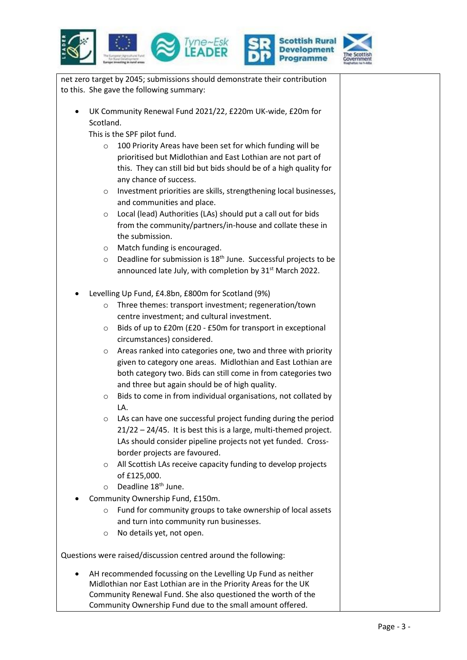

net zero target by 2045; submissions should demonstrate their contribution to this. She gave the following summary: UK Community Renewal Fund 2021/22, £220m UK-wide, £20m for Scotland. This is the SPF pilot fund. o 100 Priority Areas have been set for which funding will be prioritised but Midlothian and East Lothian are not part of this. They can still bid but bids should be of a high quality for any chance of success. o Investment priorities are skills, strengthening local businesses, and communities and place. o Local (lead) Authorities (LAs) should put a call out for bids from the community/partners/in-house and collate these in the submission. o Match funding is encouraged.  $\circ$  Deadline for submission is 18<sup>th</sup> June. Successful projects to be announced late July, with completion by 31<sup>st</sup> March 2022. Levelling Up Fund, £4.8bn, £800m for Scotland (9%) o Three themes: transport investment; regeneration/town centre investment; and cultural investment. o Bids of up to £20m (£20 - £50m for transport in exceptional circumstances) considered. o Areas ranked into categories one, two and three with priority given to category one areas. Midlothian and East Lothian are both category two. Bids can still come in from categories two and three but again should be of high quality. o Bids to come in from individual organisations, not collated by LA. o LAs can have one successful project funding during the period 21/22 – 24/45. It is best this is a large, multi-themed project. LAs should consider pipeline projects not yet funded. Crossborder projects are favoured. o All Scottish LAs receive capacity funding to develop projects of £125,000.  $\circ$  Deadline 18<sup>th</sup> June. Community Ownership Fund, £150m. o Fund for community groups to take ownership of local assets and turn into community run businesses. o No details yet, not open. Questions were raised/discussion centred around the following: AH recommended focussing on the Levelling Up Fund as neither Midlothian nor East Lothian are in the Priority Areas for the UK Community Renewal Fund. She also questioned the worth of the Community Ownership Fund due to the small amount offered.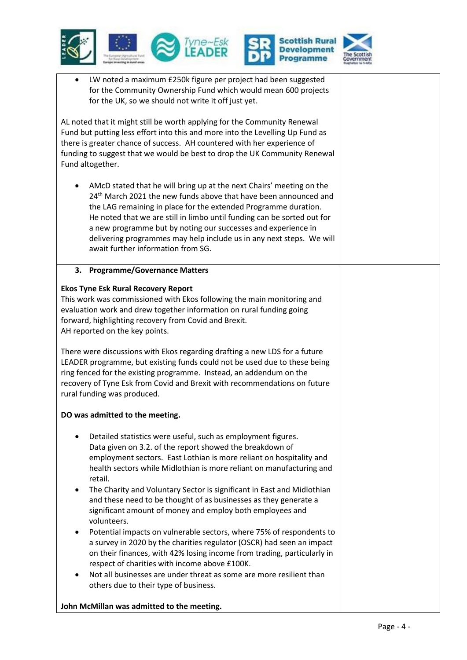



| LW noted a maximum £250k figure per project had been suggested<br>$\bullet$<br>for the Community Ownership Fund which would mean 600 projects<br>for the UK, so we should not write it off just yet.<br>AL noted that it might still be worth applying for the Community Renewal<br>Fund but putting less effort into this and more into the Levelling Up Fund as<br>there is greater chance of success. AH countered with her experience of<br>funding to suggest that we would be best to drop the UK Community Renewal<br>Fund altogether.                                                                                                                                                                                                                                                                                                                                                             |  |
|-----------------------------------------------------------------------------------------------------------------------------------------------------------------------------------------------------------------------------------------------------------------------------------------------------------------------------------------------------------------------------------------------------------------------------------------------------------------------------------------------------------------------------------------------------------------------------------------------------------------------------------------------------------------------------------------------------------------------------------------------------------------------------------------------------------------------------------------------------------------------------------------------------------|--|
| AMcD stated that he will bring up at the next Chairs' meeting on the<br>24 <sup>th</sup> March 2021 the new funds above that have been announced and<br>the LAG remaining in place for the extended Programme duration.<br>He noted that we are still in limbo until funding can be sorted out for<br>a new programme but by noting our successes and experience in<br>delivering programmes may help include us in any next steps. We will<br>await further information from SG.                                                                                                                                                                                                                                                                                                                                                                                                                         |  |
| 3. Programme/Governance Matters                                                                                                                                                                                                                                                                                                                                                                                                                                                                                                                                                                                                                                                                                                                                                                                                                                                                           |  |
| <b>Ekos Tyne Esk Rural Recovery Report</b><br>This work was commissioned with Ekos following the main monitoring and<br>evaluation work and drew together information on rural funding going<br>forward, highlighting recovery from Covid and Brexit.<br>AH reported on the key points.<br>There were discussions with Ekos regarding drafting a new LDS for a future<br>LEADER programme, but existing funds could not be used due to these being<br>ring fenced for the existing programme. Instead, an addendum on the<br>recovery of Tyne Esk from Covid and Brexit with recommendations on future                                                                                                                                                                                                                                                                                                    |  |
| rural funding was produced.                                                                                                                                                                                                                                                                                                                                                                                                                                                                                                                                                                                                                                                                                                                                                                                                                                                                               |  |
| DO was admitted to the meeting.                                                                                                                                                                                                                                                                                                                                                                                                                                                                                                                                                                                                                                                                                                                                                                                                                                                                           |  |
| Detailed statistics were useful, such as employment figures.<br>Data given on 3.2. of the report showed the breakdown of<br>employment sectors. East Lothian is more reliant on hospitality and<br>health sectors while Midlothian is more reliant on manufacturing and<br>retail.<br>The Charity and Voluntary Sector is significant in East and Midlothian<br>and these need to be thought of as businesses as they generate a<br>significant amount of money and employ both employees and<br>volunteers.<br>Potential impacts on vulnerable sectors, where 75% of respondents to<br>a survey in 2020 by the charities regulator (OSCR) had seen an impact<br>on their finances, with 42% losing income from trading, particularly in<br>respect of charities with income above £100K.<br>Not all businesses are under threat as some are more resilient than<br>others due to their type of business. |  |

**John McMillan was admitted to the meeting.**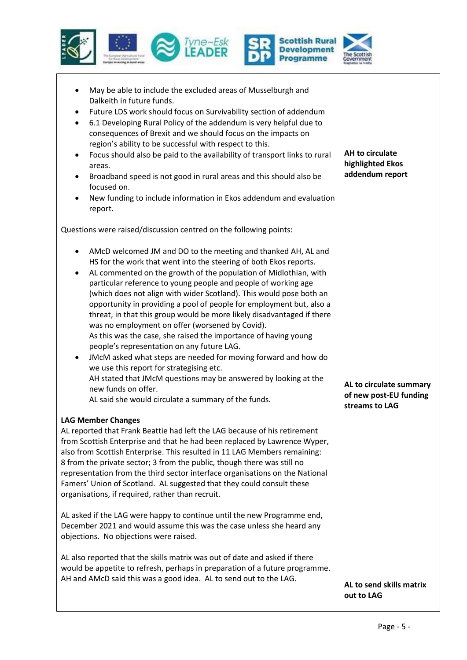





| May be able to include the excluded areas of Musselburgh and<br>Dalkeith in future funds.<br>Future LDS work should focus on Survivability section of addendum<br>$\bullet$<br>6.1 Developing Rural Policy of the addendum is very helpful due to<br>$\bullet$<br>consequences of Brexit and we should focus on the impacts on<br>region's ability to be successful with respect to this.<br>Focus should also be paid to the availability of transport links to rural<br>$\bullet$<br>areas.<br>Broadband speed is not good in rural areas and this should also be<br>٠<br>focused on.<br>New funding to include information in Ekos addendum and evaluation<br>$\bullet$<br>report. | AH to circulate<br>highlighted Ekos<br>addendum report              |
|---------------------------------------------------------------------------------------------------------------------------------------------------------------------------------------------------------------------------------------------------------------------------------------------------------------------------------------------------------------------------------------------------------------------------------------------------------------------------------------------------------------------------------------------------------------------------------------------------------------------------------------------------------------------------------------|---------------------------------------------------------------------|
| Questions were raised/discussion centred on the following points:<br>AMcD welcomed JM and DO to the meeting and thanked AH, AL and<br>٠<br>HS for the work that went into the steering of both Ekos reports.                                                                                                                                                                                                                                                                                                                                                                                                                                                                          |                                                                     |
| AL commented on the growth of the population of Midlothian, with<br>$\bullet$<br>particular reference to young people and people of working age<br>(which does not align with wider Scotland). This would pose both an<br>opportunity in providing a pool of people for employment but, also a<br>threat, in that this group would be more likely disadvantaged if there<br>was no employment on offer (worsened by Covid).<br>As this was the case, she raised the importance of having young<br>people's representation on any future LAG.                                                                                                                                          |                                                                     |
| JMcM asked what steps are needed for moving forward and how do<br>we use this report for strategising etc.<br>AH stated that JMcM questions may be answered by looking at the<br>new funds on offer.<br>AL said she would circulate a summary of the funds.                                                                                                                                                                                                                                                                                                                                                                                                                           | AL to circulate summary<br>of new post-EU funding<br>streams to LAG |
| <b>LAG Member Changes</b><br>AL reported that Frank Beattie had left the LAG because of his retirement<br>from Scottish Enterprise and that he had been replaced by Lawrence Wyper,<br>also from Scottish Enterprise. This resulted in 11 LAG Members remaining:<br>8 from the private sector; 3 from the public, though there was still no<br>representation from the third sector interface organisations on the National<br>Famers' Union of Scotland. AL suggested that they could consult these<br>organisations, if required, rather than recruit.                                                                                                                              |                                                                     |
| AL asked if the LAG were happy to continue until the new Programme end,<br>December 2021 and would assume this was the case unless she heard any<br>objections. No objections were raised.                                                                                                                                                                                                                                                                                                                                                                                                                                                                                            |                                                                     |
| AL also reported that the skills matrix was out of date and asked if there<br>would be appetite to refresh, perhaps in preparation of a future programme.<br>AH and AMcD said this was a good idea. AL to send out to the LAG.                                                                                                                                                                                                                                                                                                                                                                                                                                                        | AL to send skills matrix<br>out to LAG                              |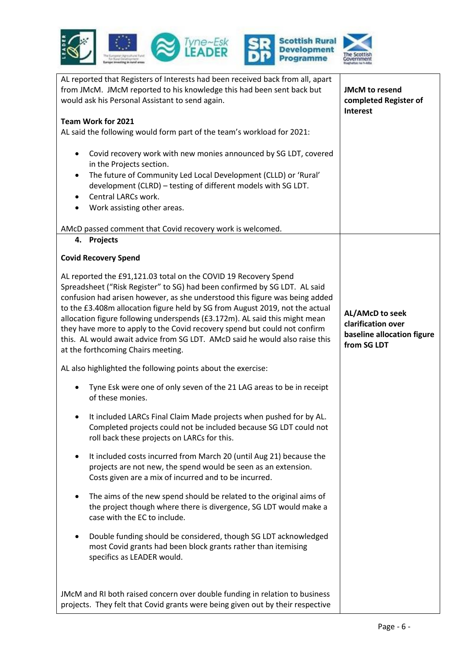

| AL reported that Registers of Interests had been received back from all, apart<br>from JMcM. JMcM reported to his knowledge this had been sent back but<br>would ask his Personal Assistant to send again.<br>Team Work for 2021<br>AL said the following would form part of the team's workload for 2021:<br>Covid recovery work with new monies announced by SG LDT, covered<br>$\bullet$<br>in the Projects section.<br>The future of Community Led Local Development (CLLD) or 'Rural'<br>$\bullet$<br>development (CLRD) - testing of different models with SG LDT.<br>Central LARCs work.<br>$\bullet$<br>Work assisting other areas.<br>$\bullet$ | <b>JMcM</b> to resend<br>completed Register of<br>Interest                                |
|----------------------------------------------------------------------------------------------------------------------------------------------------------------------------------------------------------------------------------------------------------------------------------------------------------------------------------------------------------------------------------------------------------------------------------------------------------------------------------------------------------------------------------------------------------------------------------------------------------------------------------------------------------|-------------------------------------------------------------------------------------------|
| AMcD passed comment that Covid recovery work is welcomed.<br>4. Projects                                                                                                                                                                                                                                                                                                                                                                                                                                                                                                                                                                                 |                                                                                           |
| <b>Covid Recovery Spend</b><br>AL reported the £91,121.03 total on the COVID 19 Recovery Spend<br>Spreadsheet ("Risk Register" to SG) had been confirmed by SG LDT. AL said<br>confusion had arisen however, as she understood this figure was being added<br>to the £3.408m allocation figure held by SG from August 2019, not the actual<br>allocation figure following underspends (£3.172m). AL said this might mean<br>they have more to apply to the Covid recovery spend but could not confirm<br>this. AL would await advice from SG LDT. AMcD said he would also raise this<br>at the forthcoming Chairs meeting.                               | <b>AL/AMcD to seek</b><br>clarification over<br>baseline allocation figure<br>from SG LDT |
| AL also highlighted the following points about the exercise:                                                                                                                                                                                                                                                                                                                                                                                                                                                                                                                                                                                             |                                                                                           |
| Tyne Esk were one of only seven of the 21 LAG areas to be in receipt<br>of these monies.                                                                                                                                                                                                                                                                                                                                                                                                                                                                                                                                                                 |                                                                                           |
| It included LARCs Final Claim Made projects when pushed for by AL.<br>٠<br>Completed projects could not be included because SG LDT could not<br>roll back these projects on LARCs for this.                                                                                                                                                                                                                                                                                                                                                                                                                                                              |                                                                                           |
| It included costs incurred from March 20 (until Aug 21) because the<br>٠<br>projects are not new, the spend would be seen as an extension.<br>Costs given are a mix of incurred and to be incurred.                                                                                                                                                                                                                                                                                                                                                                                                                                                      |                                                                                           |
| The aims of the new spend should be related to the original aims of<br>the project though where there is divergence, SG LDT would make a<br>case with the EC to include.                                                                                                                                                                                                                                                                                                                                                                                                                                                                                 |                                                                                           |
| Double funding should be considered, though SG LDT acknowledged<br>most Covid grants had been block grants rather than itemising<br>specifics as LEADER would.                                                                                                                                                                                                                                                                                                                                                                                                                                                                                           |                                                                                           |
| JMcM and RI both raised concern over double funding in relation to business<br>projects. They felt that Covid grants were being given out by their respective                                                                                                                                                                                                                                                                                                                                                                                                                                                                                            |                                                                                           |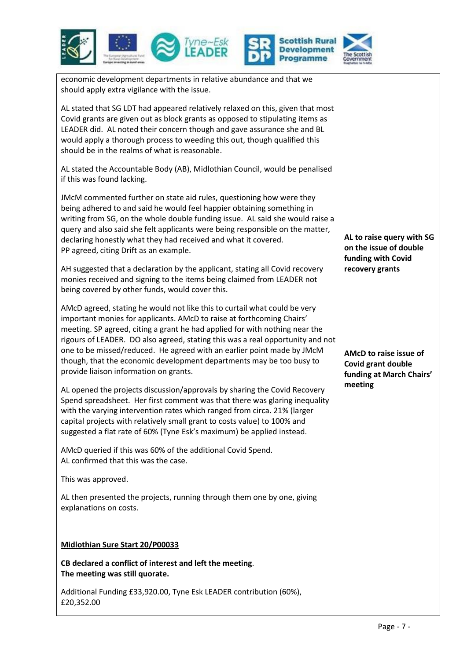

important monies for applicants. AMcD to raise at forthcoming Chairs' meeting. SP agreed, citing a grant he had applied for with nothing near the rigours of LEADER. DO also agreed, stating this was a real opportunity and not one to be missed/reduced. He agreed with an earlier point made by JMcM though, that the economic development departments may be too busy to provide liaison information on grants.

AMcD agreed, stating he would not like this to curtail what could be very

AL opened the projects discussion/approvals by sharing the Covid Recovery Spend spreadsheet. Her first comment was that there was glaring inequality with the varying intervention rates which ranged from circa. 21% (larger capital projects with relatively small grant to costs value) to 100% and suggested a flat rate of 60% (Tyne Esk's maximum) be applied instead.

AMcD queried if this was 60% of the additional Covid Spend. AL confirmed that this was the case.

This was approved.

AL then presented the projects, running through them one by one, giving explanations on costs.

# **Midlothian Sure Start 20/P00033**

**CB declared a conflict of interest and left the meeting**. **The meeting was still quorate.**

Additional Funding £33,920.00, Tyne Esk LEADER contribution (60%), £20,352.00

**AMcD to raise issue of Covid grant double funding at March Chairs' meeting**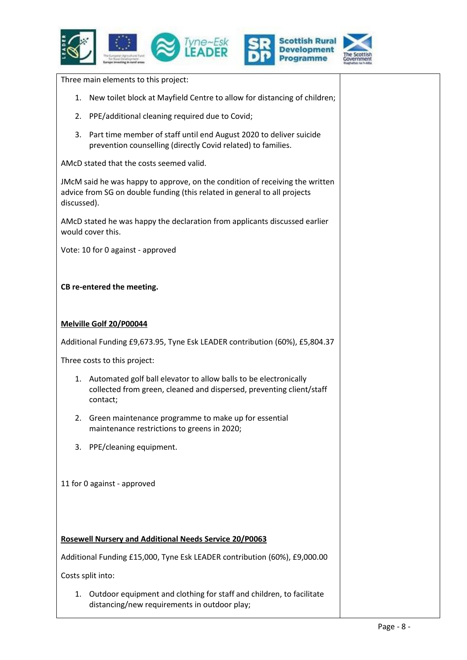



Three main elements to this project:

- 1. New toilet block at Mayfield Centre to allow for distancing of children;
- 2. PPE/additional cleaning required due to Covid;
- 3. Part time member of staff until end August 2020 to deliver suicide prevention counselling (directly Covid related) to families.

AMcD stated that the costs seemed valid.

JMcM said he was happy to approve, on the condition of receiving the written advice from SG on double funding (this related in general to all projects discussed).

AMcD stated he was happy the declaration from applicants discussed earlier would cover this.

Vote: 10 for 0 against - approved

## **CB re-entered the meeting.**

### **Melville Golf 20/P00044**

Additional Funding £9,673.95, Tyne Esk LEADER contribution (60%), £5,804.37

Three costs to this project:

- 1. Automated golf ball elevator to allow balls to be electronically collected from green, cleaned and dispersed, preventing client/staff contact;
- 2. Green maintenance programme to make up for essential maintenance restrictions to greens in 2020;
- 3. PPE/cleaning equipment.

11 for 0 against - approved

## **Rosewell Nursery and Additional Needs Service 20/P0063**

Additional Funding £15,000, Tyne Esk LEADER contribution (60%), £9,000.00

Costs split into:

1. Outdoor equipment and clothing for staff and children, to facilitate distancing/new requirements in outdoor play;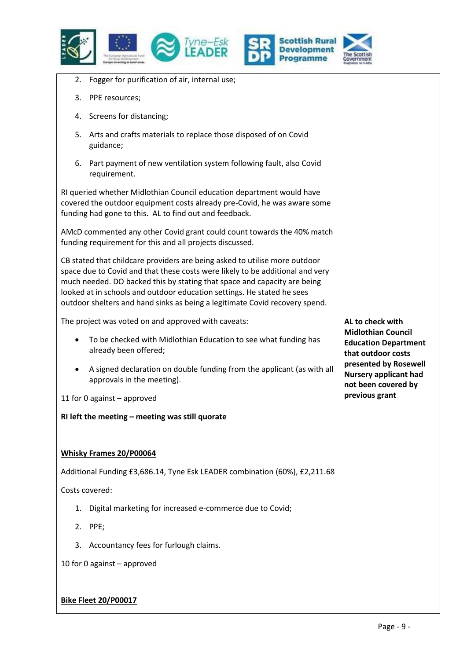







2. Fogger for purification of air, internal use; 3. PPE resources; 4. Screens for distancing; 5. Arts and crafts materials to replace those disposed of on Covid guidance; 6. Part payment of new ventilation system following fault, also Covid requirement. RI queried whether Midlothian Council education department would have covered the outdoor equipment costs already pre-Covid, he was aware some funding had gone to this. AL to find out and feedback. AMcD commented any other Covid grant could count towards the 40% match funding requirement for this and all projects discussed. CB stated that childcare providers are being asked to utilise more outdoor space due to Covid and that these costs were likely to be additional and very much needed. DO backed this by stating that space and capacity are being looked at in schools and outdoor education settings. He stated he sees outdoor shelters and hand sinks as being a legitimate Covid recovery spend. The project was voted on and approved with caveats: To be checked with Midlothian Education to see what funding has already been offered; A signed declaration on double funding from the applicant (as with all approvals in the meeting). 11 for 0 against – approved **RI left the meeting – meeting was still quorate Whisky Frames 20/P00064** Additional Funding £3,686.14, Tyne Esk LEADER combination (60%), £2,211.68 Costs covered: 1. Digital marketing for increased e-commerce due to Covid; 2. PPE; 3. Accountancy fees for furlough claims. 10 for 0 against – approved **Bike Fleet 20/P00017 AL to check with Midlothian Council Education Department that outdoor costs presented by Rosewell Nursery applicant had not been covered by previous grant**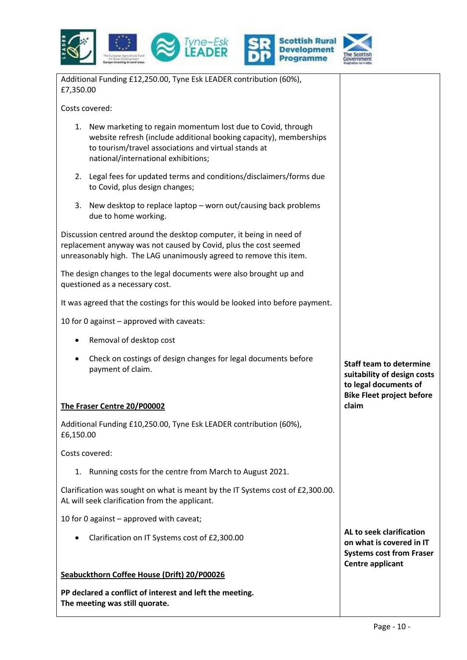

| Additional Funding £12,250.00, Tyne Esk LEADER contribution (60%),<br>£7,350.00                                                                                                                                                     |                                                                                                                    |
|-------------------------------------------------------------------------------------------------------------------------------------------------------------------------------------------------------------------------------------|--------------------------------------------------------------------------------------------------------------------|
| Costs covered:                                                                                                                                                                                                                      |                                                                                                                    |
| 1. New marketing to regain momentum lost due to Covid, through<br>website refresh (include additional booking capacity), memberships<br>to tourism/travel associations and virtual stands at<br>national/international exhibitions; |                                                                                                                    |
| 2. Legal fees for updated terms and conditions/disclaimers/forms due<br>to Covid, plus design changes;                                                                                                                              |                                                                                                                    |
| New desktop to replace laptop – worn out/causing back problems<br>3.<br>due to home working.                                                                                                                                        |                                                                                                                    |
| Discussion centred around the desktop computer, it being in need of<br>replacement anyway was not caused by Covid, plus the cost seemed<br>unreasonably high. The LAG unanimously agreed to remove this item.                       |                                                                                                                    |
| The design changes to the legal documents were also brought up and<br>questioned as a necessary cost.                                                                                                                               |                                                                                                                    |
| It was agreed that the costings for this would be looked into before payment.                                                                                                                                                       |                                                                                                                    |
| 10 for 0 against - approved with caveats:                                                                                                                                                                                           |                                                                                                                    |
| Removal of desktop cost                                                                                                                                                                                                             |                                                                                                                    |
| Check on costings of design changes for legal documents before<br>payment of claim.                                                                                                                                                 | <b>Staff team to determine</b><br>suitability of design costs<br>to legal documents of                             |
| The Fraser Centre 20/P00002                                                                                                                                                                                                         | <b>Bike Fleet project before</b><br>claim                                                                          |
| Additional Funding £10,250.00, Tyne Esk LEADER contribution (60%),<br>£6,150.00                                                                                                                                                     |                                                                                                                    |
| Costs covered:                                                                                                                                                                                                                      |                                                                                                                    |
| Running costs for the centre from March to August 2021.<br>1.                                                                                                                                                                       |                                                                                                                    |
| Clarification was sought on what is meant by the IT Systems cost of £2,300.00.<br>AL will seek clarification from the applicant.                                                                                                    |                                                                                                                    |
| 10 for 0 against - approved with caveat;                                                                                                                                                                                            |                                                                                                                    |
| Clarification on IT Systems cost of £2,300.00                                                                                                                                                                                       | AL to seek clarification<br>on what is covered in IT<br><b>Systems cost from Fraser</b><br><b>Centre applicant</b> |
| Seabuckthorn Coffee House (Drift) 20/P00026                                                                                                                                                                                         |                                                                                                                    |
| PP declared a conflict of interest and left the meeting.<br>The meeting was still quorate.                                                                                                                                          |                                                                                                                    |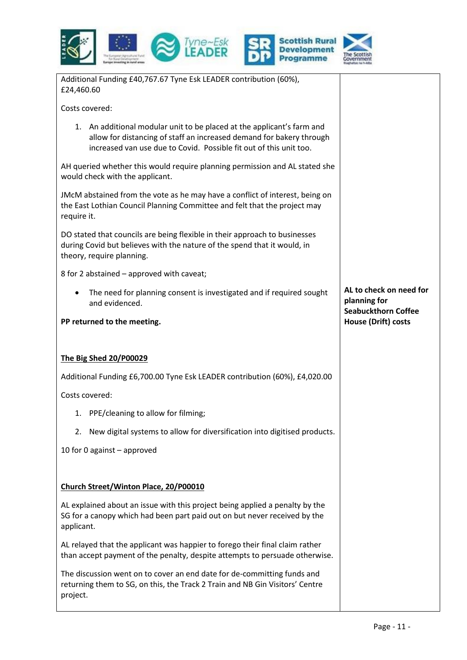| $\sim$<br>л | <b>SANTA COMPANY</b> | Tyne~Esk |  | <b>SR Scottish Rural</b><br>Programme | <b>The Scottish</b><br>Government |
|-------------|----------------------|----------|--|---------------------------------------|-----------------------------------|
|-------------|----------------------|----------|--|---------------------------------------|-----------------------------------|

| Additional Funding £40,767.67 Tyne Esk LEADER contribution (60%),<br>£24,460.60                                                                                                                                      |                                                                       |
|----------------------------------------------------------------------------------------------------------------------------------------------------------------------------------------------------------------------|-----------------------------------------------------------------------|
| Costs covered:                                                                                                                                                                                                       |                                                                       |
| 1. An additional modular unit to be placed at the applicant's farm and<br>allow for distancing of staff an increased demand for bakery through<br>increased van use due to Covid. Possible fit out of this unit too. |                                                                       |
| AH queried whether this would require planning permission and AL stated she<br>would check with the applicant.                                                                                                       |                                                                       |
| JMcM abstained from the vote as he may have a conflict of interest, being on<br>the East Lothian Council Planning Committee and felt that the project may<br>require it.                                             |                                                                       |
| DO stated that councils are being flexible in their approach to businesses<br>during Covid but believes with the nature of the spend that it would, in<br>theory, require planning.                                  |                                                                       |
| 8 for 2 abstained – approved with caveat;                                                                                                                                                                            |                                                                       |
| The need for planning consent is investigated and if required sought<br>$\bullet$<br>and evidenced.                                                                                                                  | AL to check on need for<br>planning for<br><b>Seabuckthorn Coffee</b> |
| PP returned to the meeting.                                                                                                                                                                                          | House (Drift) costs                                                   |
| The Big Shed 20/P00029                                                                                                                                                                                               |                                                                       |
| Additional Funding £6,700.00 Tyne Esk LEADER contribution (60%), £4,020.00                                                                                                                                           |                                                                       |
| Costs covered:                                                                                                                                                                                                       |                                                                       |
| 1. PPE/cleaning to allow for filming;                                                                                                                                                                                |                                                                       |
| 2. New digital systems to allow for diversification into digitised products.                                                                                                                                         |                                                                       |
| 10 for 0 against - approved                                                                                                                                                                                          |                                                                       |
|                                                                                                                                                                                                                      |                                                                       |
| Church Street/Winton Place, 20/P00010                                                                                                                                                                                |                                                                       |
| AL explained about an issue with this project being applied a penalty by the<br>SG for a canopy which had been part paid out on but never received by the<br>applicant.                                              |                                                                       |
| AL relayed that the applicant was happier to forego their final claim rather<br>than accept payment of the penalty, despite attempts to persuade otherwise.                                                          |                                                                       |
| The discussion went on to cover an end date for de-committing funds and<br>returning them to SG, on this, the Track 2 Train and NB Gin Visitors' Centre<br>project.                                                  |                                                                       |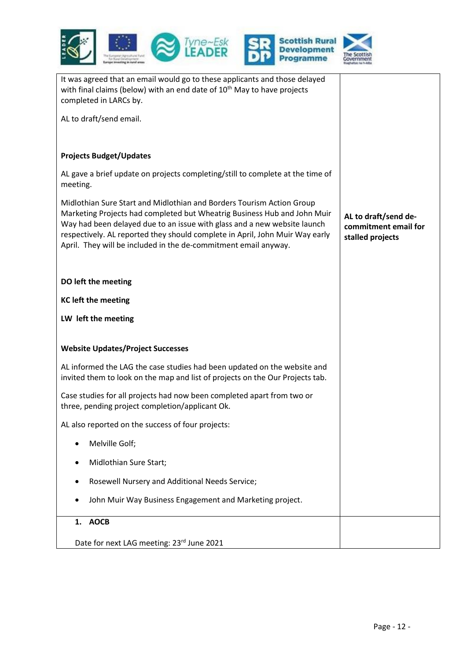| <b>Scottish Rural</b><br>Development<br>ogramme                                                                                                                                                                                                                                                                                                                                  |                                                                  |
|----------------------------------------------------------------------------------------------------------------------------------------------------------------------------------------------------------------------------------------------------------------------------------------------------------------------------------------------------------------------------------|------------------------------------------------------------------|
| It was agreed that an email would go to these applicants and those delayed<br>with final claims (below) with an end date of 10 <sup>th</sup> May to have projects<br>completed in LARCs by.                                                                                                                                                                                      |                                                                  |
| AL to draft/send email.                                                                                                                                                                                                                                                                                                                                                          |                                                                  |
| <b>Projects Budget/Updates</b>                                                                                                                                                                                                                                                                                                                                                   |                                                                  |
| AL gave a brief update on projects completing/still to complete at the time of<br>meeting.                                                                                                                                                                                                                                                                                       |                                                                  |
| Midlothian Sure Start and Midlothian and Borders Tourism Action Group<br>Marketing Projects had completed but Wheatrig Business Hub and John Muir<br>Way had been delayed due to an issue with glass and a new website launch<br>respectively. AL reported they should complete in April, John Muir Way early<br>April. They will be included in the de-commitment email anyway. | AL to draft/send de-<br>commitment email for<br>stalled projects |
| DO left the meeting                                                                                                                                                                                                                                                                                                                                                              |                                                                  |
| <b>KC left the meeting</b>                                                                                                                                                                                                                                                                                                                                                       |                                                                  |
| LW left the meeting                                                                                                                                                                                                                                                                                                                                                              |                                                                  |
| <b>Website Updates/Project Successes</b>                                                                                                                                                                                                                                                                                                                                         |                                                                  |
| AL informed the LAG the case studies had been updated on the website and<br>invited them to look on the map and list of projects on the Our Projects tab.                                                                                                                                                                                                                        |                                                                  |
| Case studies for all projects had now been completed apart from two or<br>three, pending project completion/applicant Ok.                                                                                                                                                                                                                                                        |                                                                  |
| AL also reported on the success of four projects:                                                                                                                                                                                                                                                                                                                                |                                                                  |
| Melville Golf;                                                                                                                                                                                                                                                                                                                                                                   |                                                                  |
| Midlothian Sure Start;                                                                                                                                                                                                                                                                                                                                                           |                                                                  |
| Rosewell Nursery and Additional Needs Service;                                                                                                                                                                                                                                                                                                                                   |                                                                  |
| John Muir Way Business Engagement and Marketing project.                                                                                                                                                                                                                                                                                                                         |                                                                  |
| 1. AOCB                                                                                                                                                                                                                                                                                                                                                                          |                                                                  |
| Date for next LAG meeting: 23rd June 2021                                                                                                                                                                                                                                                                                                                                        |                                                                  |